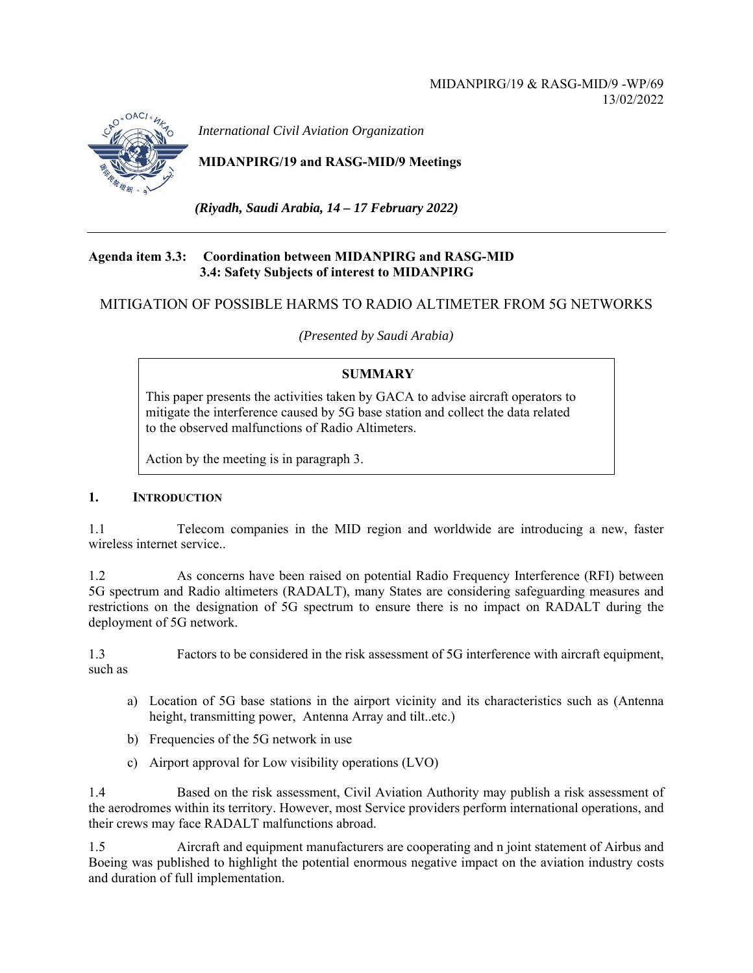MIDANPIRG/19 & RASG-MID/9 -WP/69 13/02/2022



*International Civil Aviation Organization*

**MIDANPIRG/19 and RASG-MID/9 Meetings** 

 *(Riyadh, Saudi Arabia, 14 – 17 February 2022)* 

### **Agenda item 3.3: Coordination between MIDANPIRG and RASG-MID 3.4: Safety Subjects of interest to MIDANPIRG**

## MITIGATION OF POSSIBLE HARMS TO RADIO ALTIMETER FROM 5G NETWORKS

*(Presented by Saudi Arabia)* 

### **SUMMARY**

This paper presents the activities taken by GACA to advise aircraft operators to mitigate the interference caused by 5G base station and collect the data related to the observed malfunctions of Radio Altimeters.

Action by the meeting is in paragraph 3.

#### **1. INTRODUCTION**

1.1 Telecom companies in the MID region and worldwide are introducing a new, faster wireless internet service..

1.2 As concerns have been raised on potential Radio Frequency Interference (RFI) between 5G spectrum and Radio altimeters (RADALT), many States are considering safeguarding measures and restrictions on the designation of 5G spectrum to ensure there is no impact on RADALT during the deployment of 5G network.

1.3 Factors to be considered in the risk assessment of 5G interference with aircraft equipment, such as

- a) Location of 5G base stations in the airport vicinity and its characteristics such as (Antenna height, transmitting power, Antenna Array and tilt..etc.)
- b) Frequencies of the 5G network in use
- c) Airport approval for Low visibility operations (LVO)

1.4 Based on the risk assessment, Civil Aviation Authority may publish a risk assessment of the aerodromes within its territory. However, most Service providers perform international operations, and their crews may face RADALT malfunctions abroad.

1.5 Aircraft and equipment manufacturers are cooperating and n joint statement of Airbus and Boeing was published to highlight the potential enormous negative impact on the aviation industry costs and duration of full implementation.